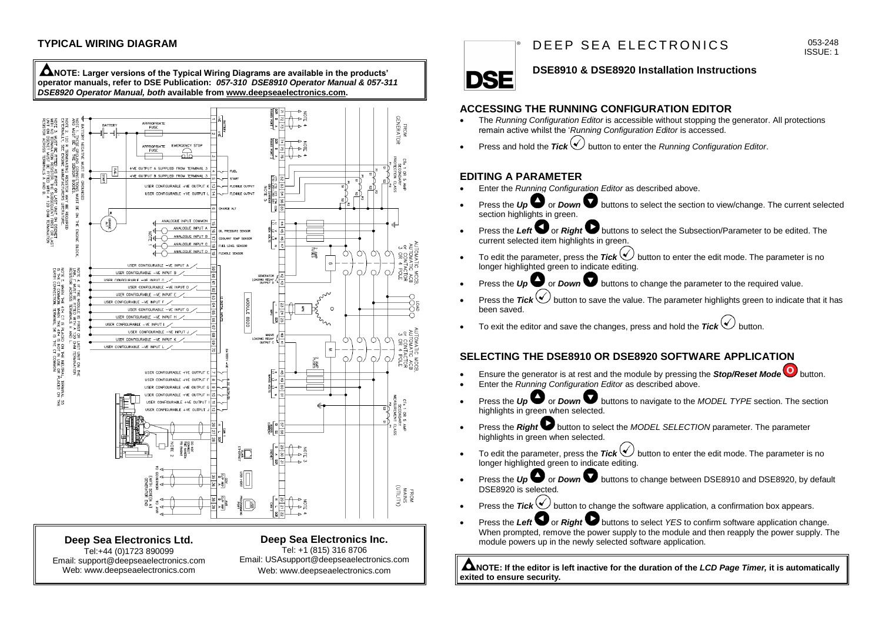

**Deep Sea Electronics Ltd.** Tel:+44 (0)1723 890099 Email: support@deepseaelectronics.com Web: www.deepseaelectronics.com

#### **Deep Sea Electronics Inc.**

Tel: +1 (815) 316 8706 Email: USAsupport@deepseaelectronics.com Web: www.deepseaelectronics.com

# D F F P S F A F L F C T R O N I C S

#### 053-248 ISSUE: 1

# **DSE8910 & DSE8920 Installation Instructions**

#### **ACCESSING THE RUNNING CONFIGURATION EDITOR**

- The *Running Configuration Editor* is accessible without stopping the generator. All protections remain active whilst the '*Running Configuration Editor* is accessed.
- Press and hold the *Tick* button to enter the *Running Configuration Editor*.

# **EDITING A PARAMETER**

**DSE** 

- Enter the *Running Configuration Editor* as described above.
- **Press the** *Up* or *Down* buttons to select the section to view/change. The current selected section highlights in green.
- Press the Left<sup>•</sup> or *Right* buttons to select the Subsection/Parameter to be edited. The current selected item highlights in green.
- To edit the parameter, press the  $\textsf{Tick} \bigotimes$  button to enter the edit mode. The parameter is no longer highlighted green to indicate editing.
- Press the *Up* or *Down* buttons to change the parameter to the required value.
- Press the *Tick*  $\bigcirc$  button to save the value. The parameter highlights green to indicate that it has been saved.
- To exit the editor and save the changes, press and hold the  $Tick \bigcirc$  button.

## **SELECTING THE DSE8910 OR DSE8920 SOFTWARE APPLICATION**

- Ensure the generator is at rest and the module by pressing the **Stop/Reset Mode<sup>O</sup>** button.
- Enter the *Running Configuration Editor* as described above.
- **Press the** *Up* or *Down* buttons to navigate to the *MODEL TYPE* section. The section highlights in green when selected.
- Press the **Right** button to select the *MODEL SELECTION* parameter. The parameter highlights in green when selected.
- To edit the parameter, press the  $\text{Tick}(\bigvee)$  button to enter the edit mode. The parameter is no longer highlighted green to indicate editing.
- Press the *Up* or *Down* **D** buttons to change between DSE8910 and DSE8920, by default DSE8920 is selected.
- Press the *Tick* button to change the software application, a confirmation box appears.
- Press the Left  $\Box$  or *Right*  $\Box$  buttons to select *YES* to confirm software application change. When prompted, remove the power supply to the module and then reapply the power supply. The module powers up in the newly selected software application.

**NOTE: If the editor is left inactive for the duration of the** *LCD Page Timer,* **it is automatically exited to ensure security.**